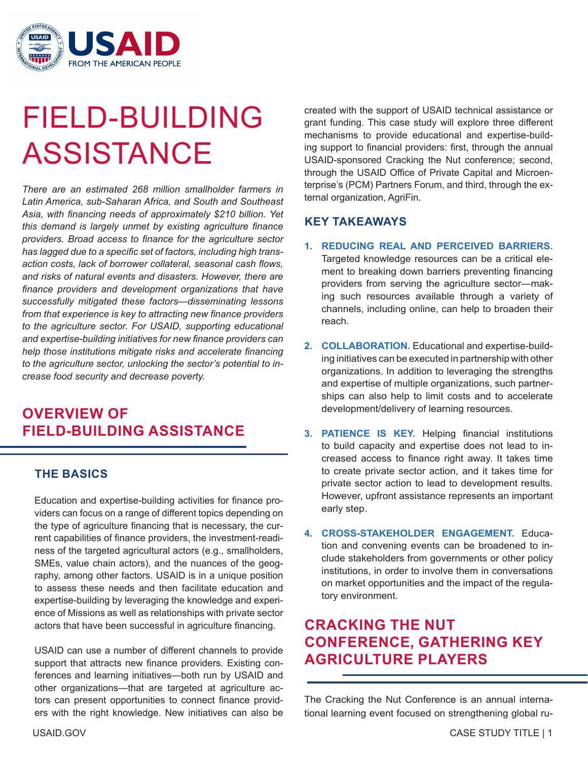

# FIELD-BUILDING ASSISTANCE

*There are an estimated 268 million smallholder farmers in Latin America, sub-Saharan Africa, and South and Southeast Asia, with financing needs of approximately \$210 billion. Yet this demand is largely unmet by existing agriculture finance providers. Broad access to finance for the agriculture sector has lagged due to a specific set of factors, including high transaction costs, lack of borrower collateral, seasonal cash flows, and risks of natural events and disasters. However, there are finance providers and development organizations that have successfully mitigated these factors—disseminating lessons from that experience is key to attracting new finance providers to the agriculture sector. For USAID, supporting educational and expertise-building initiatives for new finance providers can help those institutions mitigate risks and accelerate financing to the agriculture sector, unlocking the sector's potential to increase food security and decrease poverty.*

## **OVERVIEW OF FIELD-BUILDING ASSISTANCE**

#### **THE BASICS**

Education and expertise-building activities for finance providers can focus on a range of different topics depending on the type of agriculture financing that is necessary, the current capabilities of finance providers, the investment-readiness of the targeted agricultural actors (e.g., smallholders, SMEs, value chain actors), and the nuances of the geography, among other factors. USAID is in a unique position to assess these needs and then facilitate education and expertise-building by leveraging the knowledge and experience of Missions as well as relationships with private sector actors that have been successful in agriculture financing.

USAID can use a number of different channels to provide support that attracts new finance providers. Existing conferences and learning initiatives—both run by USAID and other organizations—that are targeted at agriculture actors can present opportunities to connect finance providers with the right knowledge. New initiatives can also be

created with the support of USAID technical assistance or grant funding. This case study will explore three different mechanisms to provide educational and expertise-building support to financial providers: first, through the annual USAID-sponsored Cracking the Nut conference; second, through the USAID Office of Private Capital and Microenterprise's (PCM) Partners Forum, and third, through the external organization, AgriFin.

#### **KEY TAKEAWAYS**

- **1. REDUCING REAL AND PERCEIVED BARRIERS.** Targeted knowledge resources can be a critical element to breaking down barriers preventing financing providers from serving the agriculture sector—making such resources available through a variety of channels, including online, can help to broaden their reach.
- **2. COLLABORATION.** Educational and expertise-building initiatives can be executed in partnership with other organizations. In addition to leveraging the strengths and expertise of multiple organizations, such partnerships can also help to limit costs and to accelerate development/delivery of learning resources.
- **3. PATIENCE IS KEY.** Helping financial institutions to build capacity and expertise does not lead to increased access to finance right away. It takes time to create private sector action, and it takes time for private sector action to lead to development results. However, upfront assistance represents an important early step.
- **4. CROSS-STAKEHOLDER ENGAGEMENT.** Education and convening events can be broadened to include stakeholders from governments or other policy institutions, in order to involve them in conversations on market opportunities and the impact of the regulatory environment.

## **CRACKING THE NUT CONFERENCE, GATHERING KEY AGRICULTURE PLAYERS**

The Cracking the Nut Conference is an annual international learning event focused on strengthening global ru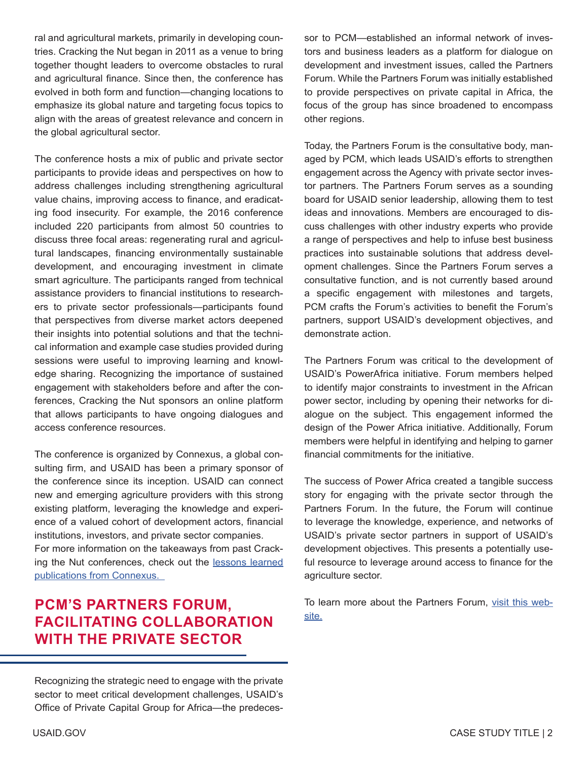ral and agricultural markets, primarily in developing countries. Cracking the Nut began in 2011 as a venue to bring together thought leaders to overcome obstacles to rural and agricultural finance. Since then, the conference has evolved in both form and function—changing locations to emphasize its global nature and targeting focus topics to align with the areas of greatest relevance and concern in the global agricultural sector.

The conference hosts a mix of public and private sector participants to provide ideas and perspectives on how to address challenges including strengthening agricultural value chains, improving access to finance, and eradicating food insecurity. For example, the 2016 conference included 220 participants from almost 50 countries to discuss three focal areas: regenerating rural and agricultural landscapes, financing environmentally sustainable development, and encouraging investment in climate smart agriculture. The participants ranged from technical assistance providers to financial institutions to researchers to private sector professionals—participants found that perspectives from diverse market actors deepened their insights into potential solutions and that the technical information and example case studies provided during sessions were useful to improving learning and knowledge sharing. Recognizing the importance of sustained engagement with stakeholders before and after the conferences, Cracking the Nut sponsors an online platform that allows participants to have ongoing dialogues and access conference resources.

The conference is organized by Connexus, a global consulting firm, and USAID has been a primary sponsor of the conference since its inception. USAID can connect new and emerging agriculture providers with this strong existing platform, leveraging the knowledge and experience of a valued cohort of development actors, financial institutions, investors, and private sector companies.

For more information on the takeaways from past Cracking the Nut conferences, check out the lessons learned [publications from Connexus.](http://connexuscorporation.com/news-events/cracking-the-nut-conference/) 

### **PCM'S PARTNERS FORUM, FACILITATING COLLABORATION WITH THE PRIVATE SECTOR**

Recognizing the strategic need to engage with the private sector to meet critical development challenges, USAID's Office of Private Capital Group for Africa—the predecessor to PCM—established an informal network of investors and business leaders as a platform for dialogue on development and investment issues, called the Partners Forum. While the Partners Forum was initially established to provide perspectives on private capital in Africa, the focus of the group has since broadened to encompass other regions.

Today, the Partners Forum is the consultative body, managed by PCM, which leads USAID's efforts to strengthen engagement across the Agency with private sector investor partners. The Partners Forum serves as a sounding board for USAID senior leadership, allowing them to test ideas and innovations. Members are encouraged to discuss challenges with other industry experts who provide a range of perspectives and help to infuse best business practices into sustainable solutions that address development challenges. Since the Partners Forum serves a consultative function, and is not currently based around a specific engagement with milestones and targets, PCM crafts the Forum's activities to benefit the Forum's partners, support USAID's development objectives, and demonstrate action.

The Partners Forum was critical to the development of USAID's PowerAfrica initiative. Forum members helped to identify major constraints to investment in the African power sector, including by opening their networks for dialogue on the subject. This engagement informed the design of the Power Africa initiative. Additionally, Forum members were helpful in identifying and helping to garner financial commitments for the initiative.

The success of Power Africa created a tangible success story for engaging with the private sector through the Partners Forum. In the future, the Forum will continue to leverage the knowledge, experience, and networks of USAID's private sector partners in support of USAID's development objectives. This presents a potentially useful resource to leverage around access to finance for the agriculture sector.

To learn more about the Partners Forum, [visit this web](https://www.usaid.gov/documents/1865/usaid-partners-forum)[site.](https://www.usaid.gov/documents/1865/usaid-partners-forum)